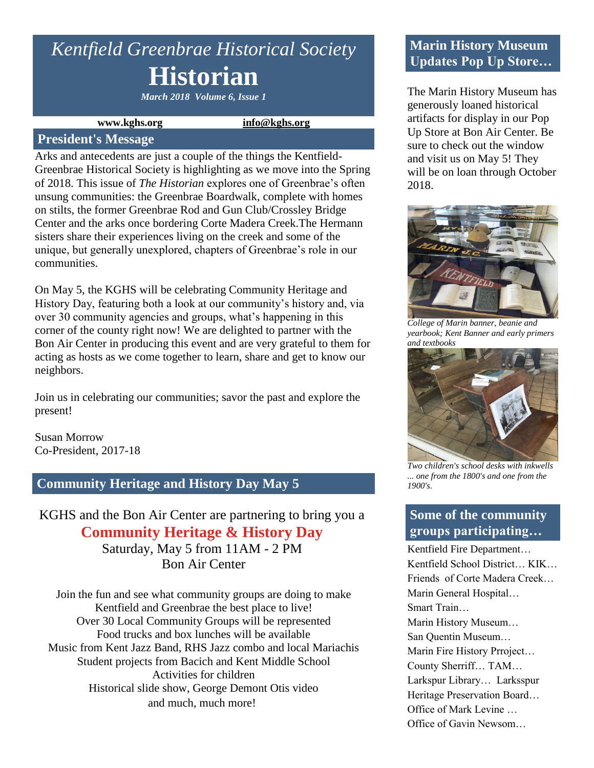# *Kentfield Greenbrae Historical Society* **Historian**

*March 2018 Volume 6, Issue 1*

#### **www.kghs.org [info@kghs.org](mailto:info@kghs.org)**

#### **President's Message**

Arks and antecedents are just a couple of the things the Kentfield-Greenbrae Historical Society is highlighting as we move into the Spring of 2018. This issue of *The Historian* explores one of Greenbrae's often unsung communities: the Greenbrae Boardwalk, complete with homes on stilts, the former Greenbrae Rod and Gun Club/Crossley Bridge Center and the arks once bordering Corte Madera Creek.The Hermann sisters share their experiences living on the creek and some of the unique, but generally unexplored, chapters of Greenbrae's role in our communities.

On May 5, the KGHS will be celebrating Community Heritage and History Day, featuring both a look at our community's history and, via over 30 community agencies and groups, what's happening in this corner of the county right now! We are delighted to partner with the Bon Air Center in producing this event and are very grateful to them for acting as hosts as we come together to learn, share and get to know our neighbors.

Join us in celebrating our communities; savor the past and explore the present!

Susan Morrow Co-President, 2017-18

### **Community Heritage and History Day May 5**

KGHS and the Bon Air Center are partnering to bring you a **Community Heritage & History Day** Saturday, May 5 from 11AM - 2 PM

Bon Air Center

Join the fun and see what community groups are doing to make Kentfield and Greenbrae the best place to live! Over 30 Local Community Groups will be represented Food trucks and box lunches will be available Music from Kent Jazz Band, RHS Jazz combo and local Mariachis Student projects from Bacich and Kent Middle School Activities for children Historical slide show, George Demont Otis video and much, much more!

# **Marin History Museum Updates Pop Up Store…**

The Marin History Museum has generously loaned historical artifacts for display in our Pop Up Store at Bon Air Center. Be sure to check out the window and visit us on May 5! They will be on loan through October 2018.



*College of Marin banner, beanie and yearbook; Kent Banner and early primers and textbooks*



*Two children's school desks with inkwells ... one from the 1800's and one from the 1900's.*

# **Some of the community groups participating…**

Kentfield Fire Department… Kentfield School District… KIK… Friends of Corte Madera Creek… Marin General Hospital… Smart Train… Marin History Museum… San Quentin Museum… Marin Fire History Prroject… County Sherriff… TAM… Larkspur Library… Larksspur Heritage Preservation Board… Office of Mark Levine … Office of Gavin Newsom…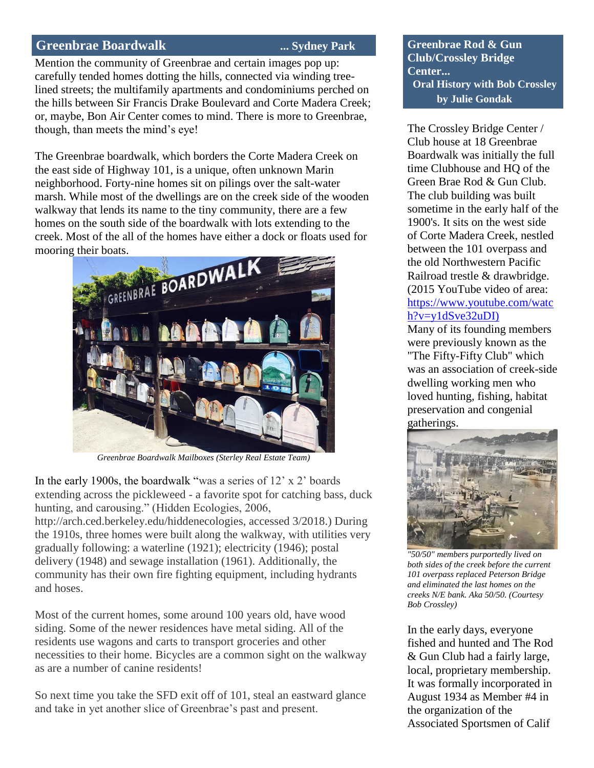#### **Greenbrae Boardwalk ... Sydney Park**

Mention the community of Greenbrae and certain images pop up: carefully tended homes dotting the hills, connected via winding treelined streets; the multifamily apartments and condominiums perched on the hills between Sir Francis Drake Boulevard and Corte Madera Creek; or, maybe, Bon Air Center comes to mind. There is more to Greenbrae, though, than meets the mind's eye!

The Greenbrae boardwalk, which borders the Corte Madera Creek on the east side of Highway 101, is a unique, often unknown Marin neighborhood. Forty-nine homes sit on pilings over the salt-water marsh. While most of the dwellings are on the creek side of the wooden walkway that lends its name to the tiny community, there are a few homes on the south side of the boardwalk with lots extending to the creek. Most of the all of the homes have either a dock or floats used for



*Greenbrae Boardwalk Mailboxes (Sterley Real Estate Team)*

In the early 1900s, the boardwalk "was a series of 12' x 2' boards extending across the pickleweed - a favorite spot for catching bass, duck hunting, and carousing." (Hidden Ecologies, 2006,

http://arch.ced.berkeley.edu/hiddenecologies, accessed 3/2018.) During the 1910s, three homes were built along the walkway, with utilities very gradually following: a waterline (1921); electricity (1946); postal delivery (1948) and sewage installation (1961). Additionally, the community has their own fire fighting equipment, including hydrants and hoses.

Most of the current homes, some around 100 years old, have wood siding. Some of the newer residences have metal siding. All of the residents use wagons and carts to transport groceries and other necessities to their home. Bicycles are a common sight on the walkway as are a number of canine residents!

So next time you take the SFD exit off of 101, steal an eastward glance and take in yet another slice of Greenbrae's past and present.

**Greenbrae Rod & Gun Club/Crossley Bridge Center... Oral History with Bob Crossley by Julie Gondak** 

The Crossley Bridge Center / Club house at 18 Greenbrae Boardwalk was initially the full time Clubhouse and HQ of the Green Brae Rod & Gun Club. The club building was built sometime in the early half of the 1900's. It sits on the west side of Corte Madera Creek, nestled between the 101 overpass and the old Northwestern Pacific Railroad trestle & drawbridge. (2015 YouTube video of area: [https://www.youtube.com/watc](https://www.youtube.com/watch?v=y1dSve32uDI)) [h?v=y1dSve32uDI\)](https://www.youtube.com/watch?v=y1dSve32uDI)) 

Many of its founding members were previously known as the "The Fifty-Fifty Club" which was an association of creek-side dwelling working men who loved hunting, fishing, habitat preservation and congenial gatherings.



*"50/50" members purportedly lived on both sides of the creek before the current 101 overpass replaced Peterson Bridge and eliminated the last homes on the creeks N/E bank. Aka 50/50. (Courtesy Bob Crossley)* 

In the early days, everyone fished and hunted and The Rod & Gun Club had a fairly large, local, proprietary membership. It was formally incorporated in August 1934 as Member #4 in the organization of the Associated Sportsmen of Calif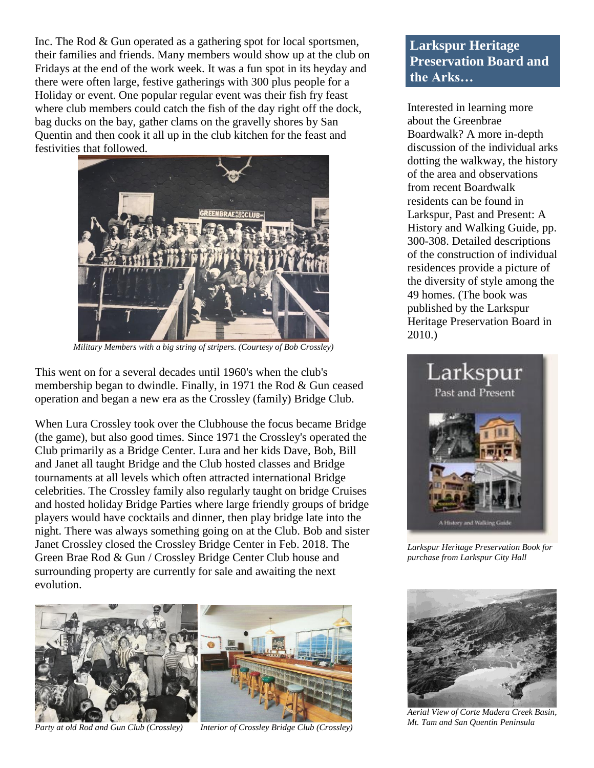Inc. The Rod & Gun operated as a gathering spot for local sportsmen, their families and friends. Many members would show up at the club on Fridays at the end of the work week. It was a fun spot in its heyday and there were often large, festive gatherings with 300 plus people for a Holiday or event. One popular regular event was their fish fry feast where club members could catch the fish of the day right off the dock, bag ducks on the bay, gather clams on the gravelly shores by San Quentin and then cook it all up in the club kitchen for the feast and festivities that followed.



*Military Members with a big string of stripers. (Courtesy of Bob Crossley)*

This went on for a several decades until 1960's when the club's membership began to dwindle. Finally, in 1971 the Rod & Gun ceased operation and began a new era as the Crossley (family) Bridge Club.

When Lura Crossley took over the Clubhouse the focus became Bridge (the game), but also good times. Since 1971 the Crossley's operated the Club primarily as a Bridge Center. Lura and her kids Dave, Bob, Bill and Janet all taught Bridge and the Club hosted classes and Bridge tournaments at all levels which often attracted international Bridge celebrities. The Crossley family also regularly taught on bridge Cruises and hosted holiday Bridge Parties where large friendly groups of bridge players would have cocktails and dinner, then play bridge late into the night. There was always something going on at the Club. Bob and sister Janet Crossley closed the Crossley Bridge Center in Feb. 2018. The Green Brae Rod & Gun / Crossley Bridge Center Club house and surrounding property are currently for sale and awaiting the next evolution.



*Party at old Rod and Gun Club (Crossley) Interior of Crossley Bridge Club (Crossley)*

# **Larkspur Heritage Preservation Board and the Arks…**

Interested in learning more about the Greenbrae Boardwalk? A more in-depth discussion of the individual arks dotting the walkway, the history of the area and observations from recent Boardwalk residents can be found in Larkspur, Past and Present: A History and Walking Guide, pp. 300-308. Detailed descriptions of the construction of individual residences provide a picture of the diversity of style among the 49 homes. (The book was published by the Larkspur Heritage Preservation Board in 2010.)



*Larkspur Heritage Preservation Book for purchase from Larkspur City Hall*



*Aerial View of Corte Madera Creek Basin, Mt. Tam and San Quentin Peninsula*